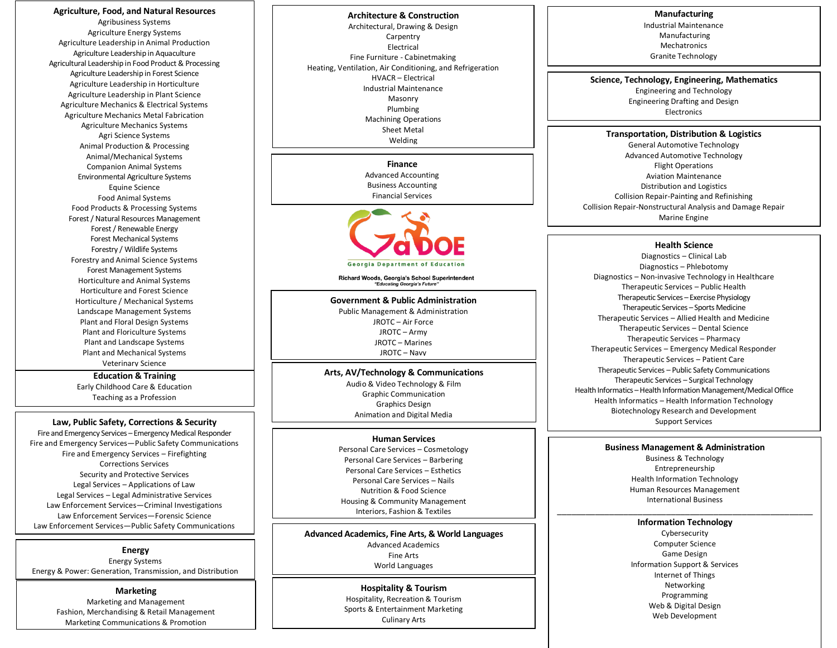**Education & Training Agriculture, Food, and Natural Resources** Agribusiness Systems Agriculture Energy Systems Agriculture Leadership in Animal Production Agriculture Leadership in Aquaculture Agricultural Leadership in Food Product & Processing Agriculture Leadership in Forest Science Agriculture Leadership in Horticulture Agriculture Leadership in Plant Science Agriculture Mechanics & Electrical Systems Agriculture Mechanics Metal Fabrication Agriculture Mechanics Systems Agri Science Systems Animal Production & Processing Animal/Mechanical Systems Companion Animal Systems Environmental Agriculture Systems Equine Science Food Animal Systems Food Products & Processing Systems Forest / Natural Resources Management Forest / Renewable Energy Forest Mechanical Systems Forestry / Wildlife Systems Forestry and Animal Science Systems Forest Management Systems Horticulture and Animal Systems Horticulture and Forest Science Horticulture / Mechanical Systems Landscape Management Systems Plant and Floral Design Systems Plant and Floriculture Systems Plant and Landscape Systems Plant and Mechanical Systems Veterinary Science

Early Childhood Care & Education Teaching as a Profession

### **Law, Public Safety, Corrections & Security**

Fire and Emergency Services – Emergency Medical Responder Fire and Emergency Services—Public Safety Communications Fire and Emergency Services – Firefighting Corrections Services Security and Protective Services Legal Services – Applications of Law Legal Services – Legal Administrative Services Law Enforcement Services—Criminal Investigations Law Enforcement Services—Forensic Science Law Enforcement Services—Public Safety Communications

#### **Energy**

Energy Systems Energy & Power: Generation, Transmission, and Distribution

#### **Marketing**

Marketing and Management Fashion, Merchandising & Retail Management Marketing Communications & Promotion

Georgia Career Clusters 2/25/19 Page 1 **Architecture & Construction** Architectural, Drawing & Design Carpentry Electrical Fine Furniture - Cabinetmaking Heating, Ventilation, Air Conditioning, and Refrigeration HVACR – Electrical Industrial Maintenance Masonry Plumbing Machining Operations Sheet Metal Welding

**Finance** Advanced Accounting Business Accounting Financial Services



Richard Woods, Georgia's School Superintendent<br>"Educating Georgia's Future"

**Government & Public Administration** Public Management & Administration JROTC – Air Force JROTC – Army JROTC – Marines JROTC – Navy

### **Arts, AV/Technology & Communications**

Audio & Video Technology & Film Graphic Communication Graphics Design Animation and Digital Media

### **Human Services**

Personal Care Services – Cosmetology Personal Care Services – Barbering Personal Care Services – Esthetics Personal Care Services – Nails Nutrition & Food Science Housing & Community Management Interiors, Fashion & Textiles

**Advanced Academics, Fine Arts, & World Languages** Advanced Academics Fine Arts World Languages

> nospitality & Tourism<br>Hospitality, Recreation & Tourism February 25, 2019 Sports & Entertainment Marketing Culinary Arts **Hospitality & Tourism**

#### **Manufacturing**

Industrial Maintenance Manufacturing Mechatronics Granite Technology

**Science, Technology, Engineering, Mathematics**

Engineering and Technology Engineering Drafting and Design Electronics

#### **Transportation, Distribution & Logistics**

General Automotive Technology Advanced Automotive Technology Flight Operations Aviation Maintenance Distribution and Logistics Collision Repair-Painting and Refinishing Collision Repair-Nonstructural Analysis and Damage Repair Marine Engine

#### **Health Science**

Diagnostics – Clinical Lab Diagnostics – Phlebotomy Diagnostics – Non-invasive Technology in Healthcare Therapeutic Services – Public Health Therapeutic Services – Exercise Physiology Therapeutic Services – Sports Medicine Therapeutic Services – Allied Health and Medicine Therapeutic Services – Dental Science Therapeutic Services – Pharmacy Therapeutic Services – Emergency Medical Responder Therapeutic Services – Patient Care Therapeutic Services – Public Safety Communications Therapeutic Services – Surgical Technology Health Informatics –Health Information Management/Medical Office Health Informatics – Health Information Technology Biotechnology Research and Development Support Services

#### **Business Management & Administration**

Business & Technology Entrepreneurship Health Information Technology Human Resources Management International Business

### \_\_\_\_\_\_\_\_\_\_\_\_\_\_\_\_\_\_\_\_\_\_\_\_\_\_\_\_\_\_\_\_\_\_\_\_\_\_\_\_\_\_\_\_\_\_\_\_\_\_\_\_\_\_ **Information Technology**

Cybersecurity Computer Science Game Design Information Support & Services Internet of Things Networking Programming Web & Digital Design Web Development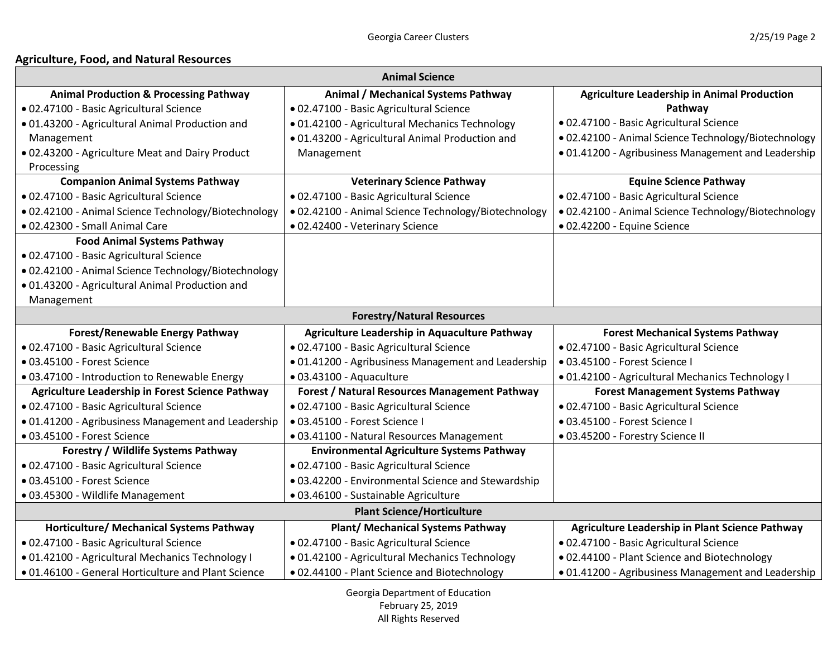# **Agriculture, Food, and Natural Resources**

| <b>Animal Science</b>                                |                                                      |                                                      |
|------------------------------------------------------|------------------------------------------------------|------------------------------------------------------|
| <b>Animal Production &amp; Processing Pathway</b>    | Animal / Mechanical Systems Pathway                  | <b>Agriculture Leadership in Animal Production</b>   |
| · 02.47100 - Basic Agricultural Science              | · 02.47100 - Basic Agricultural Science              | Pathway                                              |
| .01.43200 - Agricultural Animal Production and       | · 01.42100 - Agricultural Mechanics Technology       | · 02.47100 - Basic Agricultural Science              |
| Management                                           | · 01.43200 - Agricultural Animal Production and      | · 02.42100 - Animal Science Technology/Biotechnology |
| .02.43200 - Agriculture Meat and Dairy Product       | Management                                           | • 01.41200 - Agribusiness Management and Leadership  |
| Processing                                           |                                                      |                                                      |
| <b>Companion Animal Systems Pathway</b>              | <b>Veterinary Science Pathway</b>                    | <b>Equine Science Pathway</b>                        |
| · 02.47100 - Basic Agricultural Science              | · 02.47100 - Basic Agricultural Science              | · 02.47100 - Basic Agricultural Science              |
| · 02.42100 - Animal Science Technology/Biotechnology | · 02.42100 - Animal Science Technology/Biotechnology | · 02.42100 - Animal Science Technology/Biotechnology |
| • 02.42300 - Small Animal Care                       | • 02.42400 - Veterinary Science                      | · 02.42200 - Equine Science                          |
| <b>Food Animal Systems Pathway</b>                   |                                                      |                                                      |
| · 02.47100 - Basic Agricultural Science              |                                                      |                                                      |
| · 02.42100 - Animal Science Technology/Biotechnology |                                                      |                                                      |
| .01.43200 - Agricultural Animal Production and       |                                                      |                                                      |
| Management                                           |                                                      |                                                      |
|                                                      | <b>Forestry/Natural Resources</b>                    |                                                      |
|                                                      |                                                      |                                                      |
| <b>Forest/Renewable Energy Pathway</b>               | Agriculture Leadership in Aquaculture Pathway        | <b>Forest Mechanical Systems Pathway</b>             |
| · 02.47100 - Basic Agricultural Science              | · 02.47100 - Basic Agricultural Science              | · 02.47100 - Basic Agricultural Science              |
| · 03.45100 - Forest Science                          | · 01.41200 - Agribusiness Management and Leadership  | · 03.45100 - Forest Science I                        |
| .03.47100 - Introduction to Renewable Energy         | · 03.43100 - Aquaculture                             | · 01.42100 - Agricultural Mechanics Technology I     |
| Agriculture Leadership in Forest Science Pathway     | <b>Forest / Natural Resources Management Pathway</b> | <b>Forest Management Systems Pathway</b>             |
| · 02.47100 - Basic Agricultural Science              | · 02.47100 - Basic Agricultural Science              | · 02.47100 - Basic Agricultural Science              |
| · 01.41200 - Agribusiness Management and Leadership  | · 03.45100 - Forest Science I                        | · 03.45100 - Forest Science I                        |
| · 03.45100 - Forest Science                          | · 03.41100 - Natural Resources Management            | · 03.45200 - Forestry Science II                     |
| <b>Forestry / Wildlife Systems Pathway</b>           | <b>Environmental Agriculture Systems Pathway</b>     |                                                      |
| · 02.47100 - Basic Agricultural Science              | · 02.47100 - Basic Agricultural Science              |                                                      |
| · 03.45100 - Forest Science                          | .03.42200 - Environmental Science and Stewardship    |                                                      |
| · 03.45300 - Wildlife Management                     | · 03.46100 - Sustainable Agriculture                 |                                                      |
|                                                      | <b>Plant Science/Horticulture</b>                    |                                                      |
| Horticulture/ Mechanical Systems Pathway             | <b>Plant/ Mechanical Systems Pathway</b>             | Agriculture Leadership in Plant Science Pathway      |
| · 02.47100 - Basic Agricultural Science              | · 02.47100 - Basic Agricultural Science              | · 02.47100 - Basic Agricultural Science              |
| · 01.42100 - Agricultural Mechanics Technology I     | · 01.42100 - Agricultural Mechanics Technology       | .02.44100 - Plant Science and Biotechnology          |

Georgia Department of Education February 25, 2019 All Rights Reserved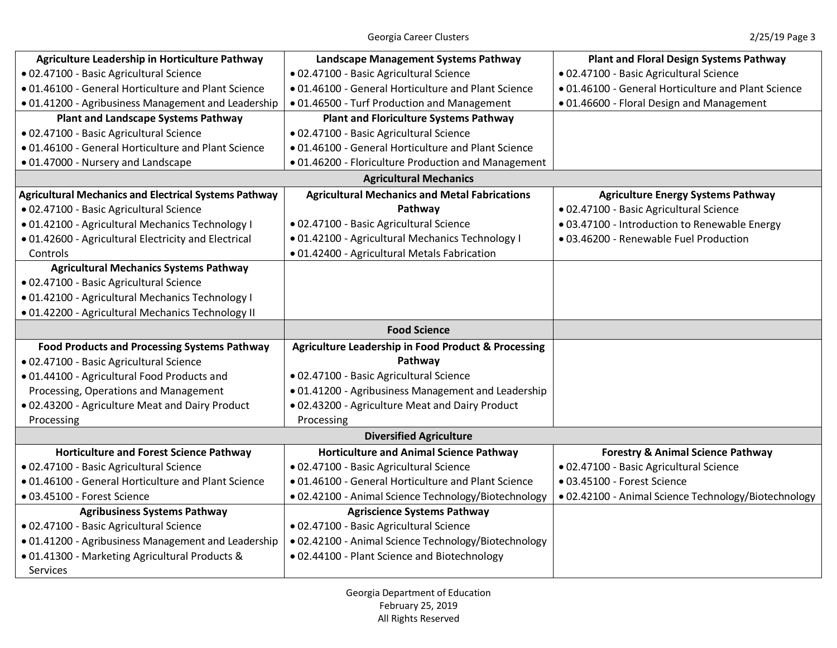| Agriculture Leadership in Horticulture Pathway               | Landscape Management Systems Pathway                           | <b>Plant and Floral Design Systems Pathway</b>      |
|--------------------------------------------------------------|----------------------------------------------------------------|-----------------------------------------------------|
| · 02.47100 - Basic Agricultural Science                      | · 02.47100 - Basic Agricultural Science                        | · 02.47100 - Basic Agricultural Science             |
| · 01.46100 - General Horticulture and Plant Science          | • 01.46100 - General Horticulture and Plant Science            | .01.46100 - General Horticulture and Plant Science  |
| .01.41200 - Agribusiness Management and Leadership           | • 01.46500 - Turf Production and Management                    | .01.46600 - Floral Design and Management            |
| <b>Plant and Landscape Systems Pathway</b>                   | <b>Plant and Floriculture Systems Pathway</b>                  |                                                     |
| · 02.47100 - Basic Agricultural Science                      | · 02.47100 - Basic Agricultural Science                        |                                                     |
| · 01.46100 - General Horticulture and Plant Science          | .01.46100 - General Horticulture and Plant Science             |                                                     |
| · 01.47000 - Nursery and Landscape                           | .01.46200 - Floriculture Production and Management             |                                                     |
|                                                              | <b>Agricultural Mechanics</b>                                  |                                                     |
| <b>Agricultural Mechanics and Electrical Systems Pathway</b> | <b>Agricultural Mechanics and Metal Fabrications</b>           | <b>Agriculture Energy Systems Pathway</b>           |
| · 02.47100 - Basic Agricultural Science                      | Pathway                                                        | · 02.47100 - Basic Agricultural Science             |
| · 01.42100 - Agricultural Mechanics Technology I             | · 02.47100 - Basic Agricultural Science                        | · 03.47100 - Introduction to Renewable Energy       |
| .01.42600 - Agricultural Electricity and Electrical          | · 01.42100 - Agricultural Mechanics Technology I               | · 03.46200 - Renewable Fuel Production              |
| Controls                                                     | · 01.42400 - Agricultural Metals Fabrication                   |                                                     |
| <b>Agricultural Mechanics Systems Pathway</b>                |                                                                |                                                     |
| · 02.47100 - Basic Agricultural Science                      |                                                                |                                                     |
| · 01.42100 - Agricultural Mechanics Technology I             |                                                                |                                                     |
| · 01.42200 - Agricultural Mechanics Technology II            |                                                                |                                                     |
|                                                              |                                                                |                                                     |
|                                                              | <b>Food Science</b>                                            |                                                     |
| <b>Food Products and Processing Systems Pathway</b>          | <b>Agriculture Leadership in Food Product &amp; Processing</b> |                                                     |
| · 02.47100 - Basic Agricultural Science                      | Pathway                                                        |                                                     |
| .01.44100 - Agricultural Food Products and                   | · 02.47100 - Basic Agricultural Science                        |                                                     |
| Processing, Operations and Management                        | · 01.41200 - Agribusiness Management and Leadership            |                                                     |
| .02.43200 - Agriculture Meat and Dairy Product               | .02.43200 - Agriculture Meat and Dairy Product                 |                                                     |
| Processing                                                   | Processing                                                     |                                                     |
|                                                              | <b>Diversified Agriculture</b>                                 |                                                     |
| <b>Horticulture and Forest Science Pathway</b>               | <b>Horticulture and Animal Science Pathway</b>                 | <b>Forestry &amp; Animal Science Pathway</b>        |
| · 02.47100 - Basic Agricultural Science                      | · 02.47100 - Basic Agricultural Science                        | · 02.47100 - Basic Agricultural Science             |
| · 01.46100 - General Horticulture and Plant Science          | · 01.46100 - General Horticulture and Plant Science            | · 03.45100 - Forest Science                         |
| · 03.45100 - Forest Science                                  | · 02.42100 - Animal Science Technology/Biotechnology           | .02.42100 - Animal Science Technology/Biotechnology |
| <b>Agribusiness Systems Pathway</b>                          | <b>Agriscience Systems Pathway</b>                             |                                                     |
| · 02.47100 - Basic Agricultural Science                      | · 02.47100 - Basic Agricultural Science                        |                                                     |
| .01.41200 - Agribusiness Management and Leadership           | · 02.42100 - Animal Science Technology/Biotechnology           |                                                     |
| · 01.41300 - Marketing Agricultural Products &               | .02.44100 - Plant Science and Biotechnology                    |                                                     |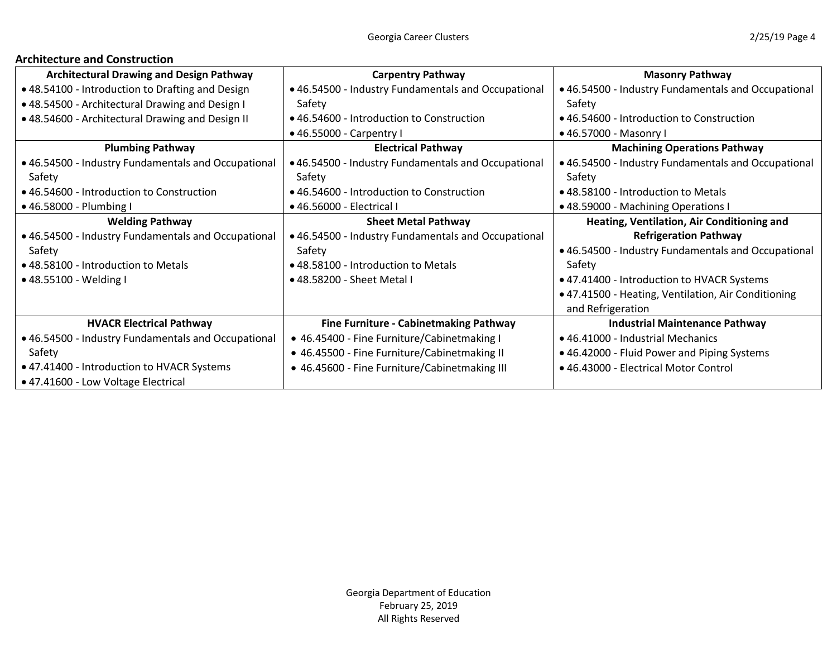# **Architecture and Construction**

| <b>Architectural Drawing and Design Pathway</b>     | <b>Carpentry Pathway</b>                            | <b>Masonry Pathway</b>                              |
|-----------------------------------------------------|-----------------------------------------------------|-----------------------------------------------------|
| • 48.54100 - Introduction to Drafting and Design    | • 46.54500 - Industry Fundamentals and Occupational | • 46.54500 - Industry Fundamentals and Occupational |
| . 48.54500 - Architectural Drawing and Design I     | Safety                                              | Safety                                              |
| • 48.54600 - Architectural Drawing and Design II    | • 46.54600 - Introduction to Construction           | • 46.54600 - Introduction to Construction           |
|                                                     | • 46.55000 - Carpentry I                            | • 46.57000 - Masonry I                              |
| <b>Plumbing Pathway</b>                             | <b>Electrical Pathway</b>                           | <b>Machining Operations Pathway</b>                 |
| • 46.54500 - Industry Fundamentals and Occupational | • 46.54500 - Industry Fundamentals and Occupational | • 46.54500 - Industry Fundamentals and Occupational |
| Safety                                              | Safety                                              | Safety                                              |
| • 46.54600 - Introduction to Construction           | • 46.54600 - Introduction to Construction           | • 48.58100 - Introduction to Metals                 |
| • 46.58000 - Plumbing I                             | • 46.56000 - Electrical I                           | · 48.59000 - Machining Operations I                 |
| <b>Welding Pathway</b>                              | <b>Sheet Metal Pathway</b>                          | Heating, Ventilation, Air Conditioning and          |
| • 46.54500 - Industry Fundamentals and Occupational | • 46.54500 - Industry Fundamentals and Occupational | <b>Refrigeration Pathway</b>                        |
| Safety                                              | Safety                                              | • 46.54500 - Industry Fundamentals and Occupational |
| • 48.58100 - Introduction to Metals                 | • 48.58100 - Introduction to Metals                 | Safety                                              |
| • 48.55100 - Welding I                              | • 48.58200 - Sheet Metal I                          | • 47.41400 - Introduction to HVACR Systems          |
|                                                     |                                                     | • 47.41500 - Heating, Ventilation, Air Conditioning |
|                                                     |                                                     | and Refrigeration                                   |
| <b>HVACR Electrical Pathway</b>                     | <b>Fine Furniture - Cabinetmaking Pathway</b>       | <b>Industrial Maintenance Pathway</b>               |
| • 46.54500 - Industry Fundamentals and Occupational | • 46.45400 - Fine Furniture/Cabinetmaking I         | • 46.41000 - Industrial Mechanics                   |
| Safety                                              | • 46.45500 - Fine Furniture/Cabinetmaking II        | • 46.42000 - Fluid Power and Piping Systems         |
| • 47.41400 - Introduction to HVACR Systems          | • 46.45600 - Fine Furniture/Cabinetmaking III       | • 46.43000 - Electrical Motor Control               |
| • 47.41600 - Low Voltage Electrical                 |                                                     |                                                     |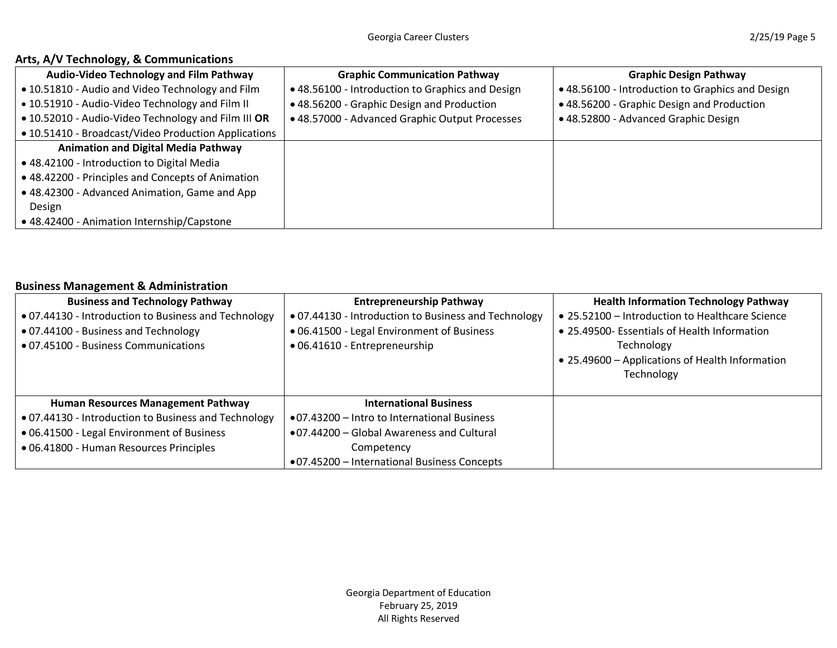# **Arts, A/V Technology, & Communications**

| <b>Audio-Video Technology and Film Pathway</b>       | <b>Graphic Communication Pathway</b>             | <b>Graphic Design Pathway</b>                    |
|------------------------------------------------------|--------------------------------------------------|--------------------------------------------------|
| • 10.51810 - Audio and Video Technology and Film     | • 48.56100 - Introduction to Graphics and Design | • 48.56100 - Introduction to Graphics and Design |
| . 10.51910 - Audio-Video Technology and Film II      | • 48.56200 - Graphic Design and Production       | • 48.56200 - Graphic Design and Production       |
| . 10.52010 - Audio-Video Technology and Film III OR  | • 48.57000 - Advanced Graphic Output Processes   | • 48.52800 - Advanced Graphic Design             |
| • 10.51410 - Broadcast/Video Production Applications |                                                  |                                                  |
| <b>Animation and Digital Media Pathway</b>           |                                                  |                                                  |
| • 48.42100 - Introduction to Digital Media           |                                                  |                                                  |
| • 48.42200 - Principles and Concepts of Animation    |                                                  |                                                  |
| • 48.42300 - Advanced Animation, Game and App        |                                                  |                                                  |
| Design                                               |                                                  |                                                  |
| • 48.42400 - Animation Internship/Capstone           |                                                  |                                                  |

### **Business Management & Administration**

| <b>Business and Technology Pathway</b>              | <b>Entrepreneurship Pathway</b>                      | <b>Health Information Technology Pathway</b>    |
|-----------------------------------------------------|------------------------------------------------------|-------------------------------------------------|
| .07.44130 - Introduction to Business and Technology | • 07.44130 - Introduction to Business and Technology | • 25.52100 - Introduction to Healthcare Science |
| • 07.44100 - Business and Technology                | • 06.41500 - Legal Environment of Business           | • 25.49500- Essentials of Health Information    |
| • 07.45100 - Business Communications                | • 06.41610 - Entrepreneurship                        | Technology                                      |
|                                                     |                                                      | • 25.49600 - Applications of Health Information |
|                                                     |                                                      | Technology                                      |
|                                                     |                                                      |                                                 |
| Human Resources Management Pathway                  | <b>International Business</b>                        |                                                 |
| .07.44130 - Introduction to Business and Technology | •07.43200 – Intro to International Business          |                                                 |
| • 06.41500 - Legal Environment of Business          | ● 07.44200 - Global Awareness and Cultural           |                                                 |
| · 06.41800 - Human Resources Principles             | Competency                                           |                                                 |
|                                                     | •07.45200 - International Business Concepts          |                                                 |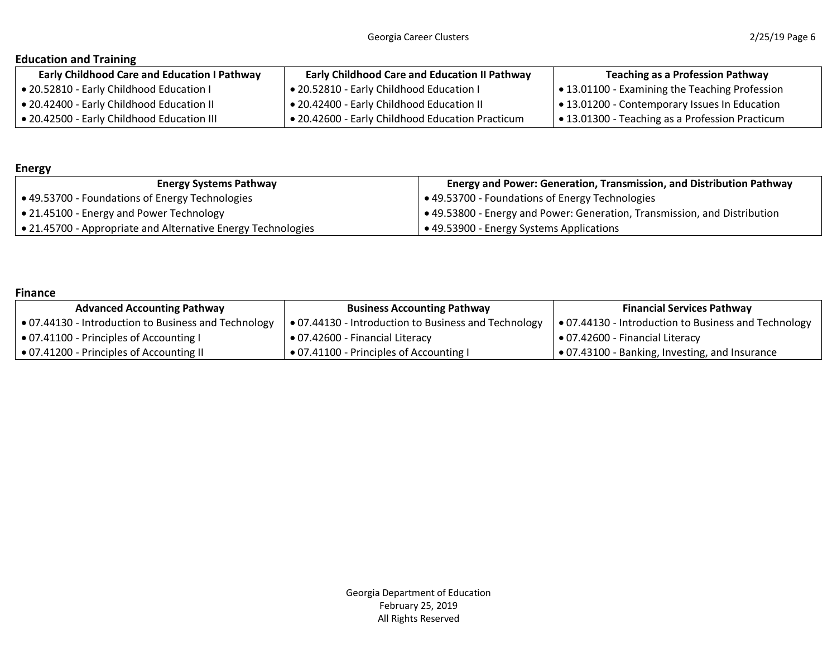# **Education and Training**

| <b>Early Childhood Care and Education I Pathway</b> | <b>Early Childhood Care and Education II Pathway</b>    | <b>Teaching as a Profession Pathway</b>               |
|-----------------------------------------------------|---------------------------------------------------------|-------------------------------------------------------|
| • 20.52810 - Early Childhood Education I            | 1 • 20.52810 - Early Childhood Education I              | <b>● 13.01100 - Examining the Teaching Profession</b> |
| • 20.42400 - Early Childhood Education II           | <b>● 20.42400 - Early Childhood Education II</b>        | • 13.01200 - Contemporary Issues In Education         |
| • 20.42500 - Early Childhood Education III          | <b>● 20.42600 - Early Childhood Education Practicum</b> | • 13.01300 - Teaching as a Profession Practicum       |

# **Energy**

| <b>Energy Systems Pathway</b>                                | Energy and Power: Generation, Transmission, and Distribution Pathway              |
|--------------------------------------------------------------|-----------------------------------------------------------------------------------|
| ● 49.53700 - Foundations of Energy Technologies              | ● 49.53700 - Foundations of Energy Technologies                                   |
| • 21.45100 - Energy and Power Technology                     | $\bullet$ 49.53800 - Energy and Power: Generation, Transmission, and Distribution |
| • 21.45700 - Appropriate and Alternative Energy Technologies | $\rightarrow$ 49.53900 - Energy Systems Applications                              |

### **Finance**

| <b>Advanced Accounting Pathway</b>                   | <b>Business Accounting Pathway</b>                   | <b>Financial Services Pathway</b>                    |
|------------------------------------------------------|------------------------------------------------------|------------------------------------------------------|
| • 07.44130 - Introduction to Business and Technology | • 07.44130 - Introduction to Business and Technology | • 07.44130 - Introduction to Business and Technology |
| • 07.41100 - Principles of Accounting I              | ● 07.42600 - Financial Literacy                      | ● 07.42600 - Financial Literacy                      |
| • 07.41200 - Principles of Accounting II             | • 07.41100 - Principles of Accounting I              | ∣ ● 07.43100 - Banking, Investing, and Insurance     |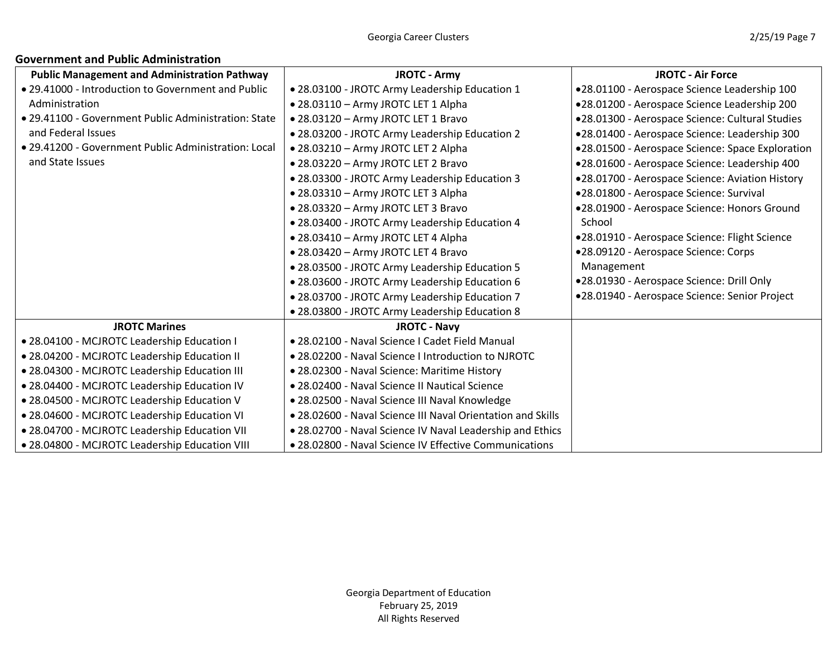# **Government and Public Administration**

| <b>Public Management and Administration Pathway</b>  | <b>JROTC - Army</b>                                         | <b>JROTC - Air Force</b>                         |
|------------------------------------------------------|-------------------------------------------------------------|--------------------------------------------------|
| • 29.41000 - Introduction to Government and Public   | . 28.03100 - JROTC Army Leadership Education 1              | •28.01100 - Aerospace Science Leadership 100     |
| Administration                                       | • 28.03110 - Army JROTC LET 1 Alpha                         | •28.01200 - Aerospace Science Leadership 200     |
| • 29.41100 - Government Public Administration: State | . 28.03120 - Army JROTC LET 1 Bravo                         | •28.01300 - Aerospace Science: Cultural Studies  |
| and Federal Issues                                   | . 28.03200 - JROTC Army Leadership Education 2              | •28.01400 - Aerospace Science: Leadership 300    |
| • 29.41200 - Government Public Administration: Local | · 28.03210 - Army JROTC LET 2 Alpha                         | •28.01500 - Aerospace Science: Space Exploration |
| and State Issues                                     | ● 28.03220 - Army JROTC LET 2 Bravo                         | •28.01600 - Aerospace Science: Leadership 400    |
|                                                      | . 28.03300 - JROTC Army Leadership Education 3              | .28.01700 - Aerospace Science: Aviation History  |
|                                                      | • 28.03310 - Army JROTC LET 3 Alpha                         | •28.01800 - Aerospace Science: Survival          |
|                                                      | • 28.03320 - Army JROTC LET 3 Bravo                         | .28.01900 - Aerospace Science: Honors Ground     |
|                                                      | . 28.03400 - JROTC Army Leadership Education 4              | School                                           |
|                                                      | • 28.03410 - Army JROTC LET 4 Alpha                         | •28.01910 - Aerospace Science: Flight Science    |
|                                                      | . 28.03420 - Army JROTC LET 4 Bravo                         | •28.09120 - Aerospace Science: Corps             |
|                                                      | . 28.03500 - JROTC Army Leadership Education 5              | Management                                       |
|                                                      | . 28.03600 - JROTC Army Leadership Education 6              | .28.01930 - Aerospace Science: Drill Only        |
|                                                      | . 28.03700 - JROTC Army Leadership Education 7              | •28.01940 - Aerospace Science: Senior Project    |
|                                                      | . 28.03800 - JROTC Army Leadership Education 8              |                                                  |
| <b>JROTC Marines</b>                                 | <b>JROTC - Navy</b>                                         |                                                  |
| • 28.04100 - MCJROTC Leadership Education I          | · 28.02100 - Naval Science I Cadet Field Manual             |                                                  |
| • 28.04200 - MCJROTC Leadership Education II         | • 28.02200 - Naval Science I Introduction to NJROTC         |                                                  |
| . 28.04300 - MCJROTC Leadership Education III        | • 28.02300 - Naval Science: Maritime History                |                                                  |
| • 28.04400 - MCJROTC Leadership Education IV         | • 28.02400 - Naval Science II Nautical Science              |                                                  |
| • 28.04500 - MCJROTC Leadership Education V          | • 28.02500 - Naval Science III Naval Knowledge              |                                                  |
| . 28.04600 - MCJROTC Leadership Education VI         | • 28.02600 - Naval Science III Naval Orientation and Skills |                                                  |
| . 28.04700 - MCJROTC Leadership Education VII        | . 28.02700 - Naval Science IV Naval Leadership and Ethics   |                                                  |
| . 28.04800 - MCJROTC Leadership Education VIII       | • 28.02800 - Naval Science IV Effective Communications      |                                                  |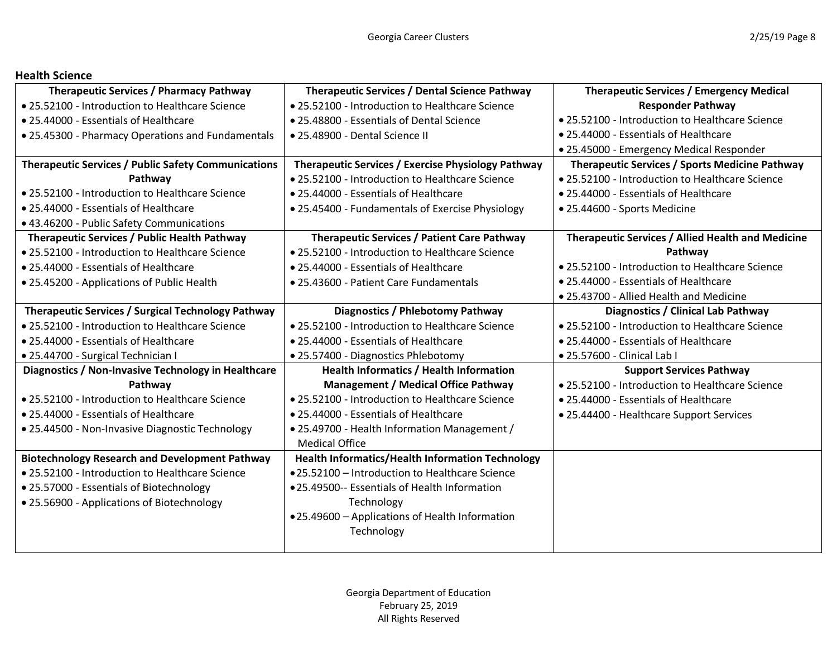### **Health Science**

| <b>Therapeutic Services / Pharmacy Pathway</b>             | Therapeutic Services / Dental Science Pathway           | <b>Therapeutic Services / Emergency Medical</b>       |
|------------------------------------------------------------|---------------------------------------------------------|-------------------------------------------------------|
| • 25.52100 - Introduction to Healthcare Science            | • 25.52100 - Introduction to Healthcare Science         | <b>Responder Pathway</b>                              |
| • 25.44000 - Essentials of Healthcare                      | • 25.48800 - Essentials of Dental Science               | • 25.52100 - Introduction to Healthcare Science       |
| • 25.45300 - Pharmacy Operations and Fundamentals          | • 25.48900 - Dental Science II                          | • 25.44000 - Essentials of Healthcare                 |
|                                                            |                                                         | · 25.45000 - Emergency Medical Responder              |
| <b>Therapeutic Services / Public Safety Communications</b> | Therapeutic Services / Exercise Physiology Pathway      | <b>Therapeutic Services / Sports Medicine Pathway</b> |
| Pathway                                                    | • 25.52100 - Introduction to Healthcare Science         | • 25.52100 - Introduction to Healthcare Science       |
| • 25.52100 - Introduction to Healthcare Science            | • 25.44000 - Essentials of Healthcare                   | • 25.44000 - Essentials of Healthcare                 |
| • 25.44000 - Essentials of Healthcare                      | • 25.45400 - Fundamentals of Exercise Physiology        | • 25.44600 - Sports Medicine                          |
| • 43.46200 - Public Safety Communications                  |                                                         |                                                       |
| Therapeutic Services / Public Health Pathway               | <b>Therapeutic Services / Patient Care Pathway</b>      | Therapeutic Services / Allied Health and Medicine     |
| • 25.52100 - Introduction to Healthcare Science            | • 25.52100 - Introduction to Healthcare Science         | Pathway                                               |
| • 25.44000 - Essentials of Healthcare                      | • 25.44000 - Essentials of Healthcare                   | • 25.52100 - Introduction to Healthcare Science       |
| • 25.45200 - Applications of Public Health                 | • 25.43600 - Patient Care Fundamentals                  | • 25.44000 - Essentials of Healthcare                 |
|                                                            |                                                         | • 25.43700 - Allied Health and Medicine               |
| Therapeutic Services / Surgical Technology Pathway         | Diagnostics / Phlebotomy Pathway                        | Diagnostics / Clinical Lab Pathway                    |
| • 25.52100 - Introduction to Healthcare Science            | • 25.52100 - Introduction to Healthcare Science         | • 25.52100 - Introduction to Healthcare Science       |
| • 25.44000 - Essentials of Healthcare                      | • 25.44000 - Essentials of Healthcare                   | • 25.44000 - Essentials of Healthcare                 |
| · 25.44700 - Surgical Technician I                         | • 25.57400 - Diagnostics Phlebotomy                     | · 25.57600 - Clinical Lab I                           |
| Diagnostics / Non-Invasive Technology in Healthcare        | <b>Health Informatics / Health Information</b>          | <b>Support Services Pathway</b>                       |
| Pathway                                                    | <b>Management / Medical Office Pathway</b>              | • 25.52100 - Introduction to Healthcare Science       |
| • 25.52100 - Introduction to Healthcare Science            | • 25.52100 - Introduction to Healthcare Science         | • 25.44000 - Essentials of Healthcare                 |
| • 25.44000 - Essentials of Healthcare                      | • 25.44000 - Essentials of Healthcare                   | • 25.44400 - Healthcare Support Services              |
| · 25.44500 - Non-Invasive Diagnostic Technology            | . 25.49700 - Health Information Management /            |                                                       |
|                                                            | <b>Medical Office</b>                                   |                                                       |
| <b>Biotechnology Research and Development Pathway</b>      | <b>Health Informatics/Health Information Technology</b> |                                                       |
| • 25.52100 - Introduction to Healthcare Science            | •25.52100 - Introduction to Healthcare Science          |                                                       |
| • 25.57000 - Essentials of Biotechnology                   | .25.49500-- Essentials of Health Information            |                                                       |
| • 25.56900 - Applications of Biotechnology                 | Technology                                              |                                                       |
|                                                            | •25.49600 - Applications of Health Information          |                                                       |
|                                                            | Technology                                              |                                                       |
|                                                            |                                                         |                                                       |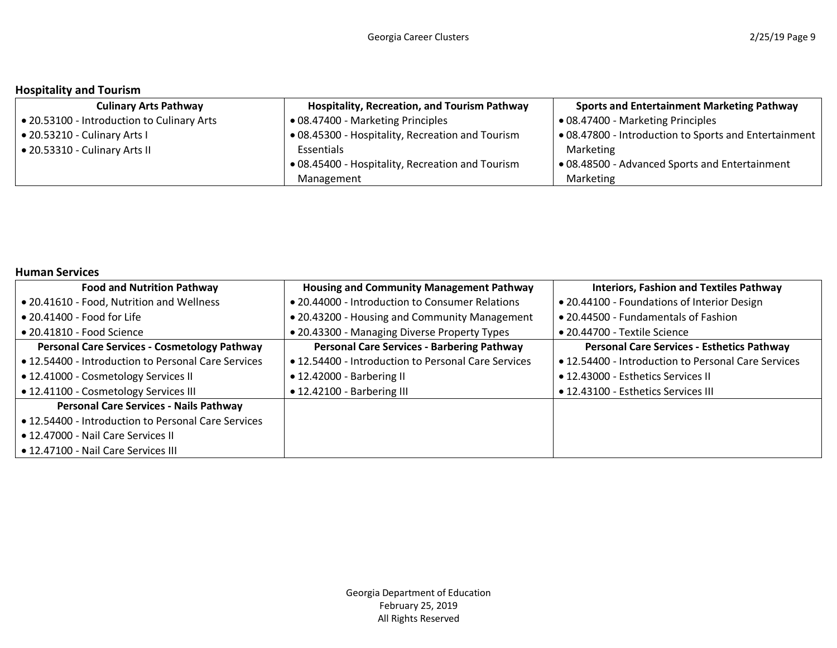# **Hospitality and Tourism**

| <b>Culinary Arts Pathway</b>               | <b>Hospitality, Recreation, and Tourism Pathway</b> | <b>Sports and Entertainment Marketing Pathway</b>     |
|--------------------------------------------|-----------------------------------------------------|-------------------------------------------------------|
| • 20.53100 - Introduction to Culinary Arts | • 08.47400 - Marketing Principles                   | • 08.47400 - Marketing Principles                     |
| • 20.53210 - Culinary Arts I               | • 08.45300 - Hospitality, Recreation and Tourism    | • 08.47800 - Introduction to Sports and Entertainment |
| • 20.53310 - Culinary Arts II              | Essentials                                          | Marketing                                             |
|                                            | • 08.45400 - Hospitality, Recreation and Tourism    | • 08.48500 - Advanced Sports and Entertainment        |
|                                            | Management                                          | Marketing                                             |

# **Human Services**

| <b>Food and Nutrition Pathway</b>                   | <b>Housing and Community Management Pathway</b>     | <b>Interiors, Fashion and Textiles Pathway</b>      |
|-----------------------------------------------------|-----------------------------------------------------|-----------------------------------------------------|
| • 20.41610 - Food, Nutrition and Wellness           | • 20.44000 - Introduction to Consumer Relations     | . 20.44100 - Foundations of Interior Design         |
| $\bullet$ 20.41400 - Food for Life                  | • 20.43200 - Housing and Community Management       | • 20.44500 - Fundamentals of Fashion                |
| $\bullet$ 20.41810 - Food Science                   | • 20.43300 - Managing Diverse Property Types        | • 20.44700 - Textile Science                        |
| <b>Personal Care Services - Cosmetology Pathway</b> | <b>Personal Care Services - Barbering Pathway</b>   | <b>Personal Care Services - Esthetics Pathway</b>   |
| • 12.54400 - Introduction to Personal Care Services | • 12.54400 - Introduction to Personal Care Services | • 12.54400 - Introduction to Personal Care Services |
| • 12.41000 - Cosmetology Services II                | • 12.42000 - Barbering II                           | • 12.43000 - Esthetics Services II                  |
| • 12.41100 - Cosmetology Services III               | • 12.42100 - Barbering III                          | • 12.43100 - Esthetics Services III                 |
| <b>Personal Care Services - Nails Pathway</b>       |                                                     |                                                     |
| • 12.54400 - Introduction to Personal Care Services |                                                     |                                                     |
| • 12.47000 - Nail Care Services II                  |                                                     |                                                     |
| • 12.47100 - Nail Care Services III                 |                                                     |                                                     |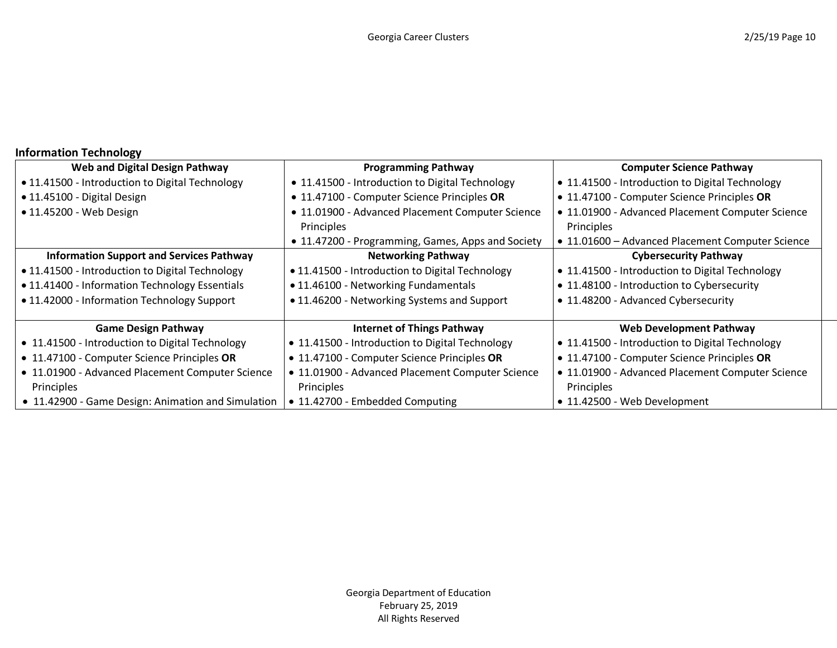# **Information Technology**

| Web and Digital Design Pathway                     | <b>Programming Pathway</b>                        | <b>Computer Science Pathway</b>                  |  |
|----------------------------------------------------|---------------------------------------------------|--------------------------------------------------|--|
| • 11.41500 - Introduction to Digital Technology    | • 11.41500 - Introduction to Digital Technology   | • 11.41500 - Introduction to Digital Technology  |  |
| · 11.45100 - Digital Design                        | • 11.47100 - Computer Science Principles OR       | • 11.47100 - Computer Science Principles OR      |  |
| • 11.45200 - Web Design                            | • 11.01900 - Advanced Placement Computer Science  | • 11.01900 - Advanced Placement Computer Science |  |
|                                                    | Principles                                        | Principles                                       |  |
|                                                    | • 11.47200 - Programming, Games, Apps and Society | • 11.01600 - Advanced Placement Computer Science |  |
| <b>Information Support and Services Pathway</b>    | <b>Networking Pathway</b>                         | <b>Cybersecurity Pathway</b>                     |  |
| • 11.41500 - Introduction to Digital Technology    | • 11.41500 - Introduction to Digital Technology   | • 11.41500 - Introduction to Digital Technology  |  |
| • 11.41400 - Information Technology Essentials     | • 11.46100 - Networking Fundamentals              | • 11.48100 - Introduction to Cybersecurity       |  |
| • 11.42000 - Information Technology Support        | • 11.46200 - Networking Systems and Support       | • 11.48200 - Advanced Cybersecurity              |  |
|                                                    |                                                   |                                                  |  |
| <b>Game Design Pathway</b>                         | <b>Internet of Things Pathway</b>                 | <b>Web Development Pathway</b>                   |  |
| • 11.41500 - Introduction to Digital Technology    | • 11.41500 - Introduction to Digital Technology   | • 11.41500 - Introduction to Digital Technology  |  |
| • 11.47100 - Computer Science Principles OR        | • 11.47100 - Computer Science Principles OR       | • 11.47100 - Computer Science Principles OR      |  |
| • 11.01900 - Advanced Placement Computer Science   | • 11.01900 - Advanced Placement Computer Science  | • 11.01900 - Advanced Placement Computer Science |  |
| Principles                                         | Principles                                        | Principles                                       |  |
| • 11.42900 - Game Design: Animation and Simulation | • 11.42700 - Embedded Computing                   | • 11.42500 - Web Development                     |  |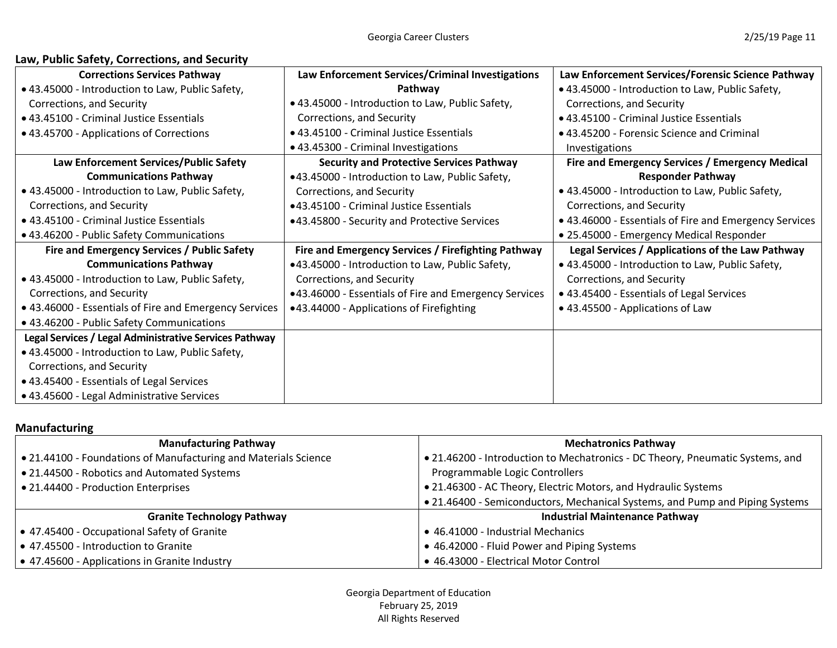| Law, Public Safety, Corrections, and Security |
|-----------------------------------------------|
|-----------------------------------------------|

| <b>Corrections Services Pathway</b>                    | Law Enforcement Services/Criminal Investigations      | Law Enforcement Services/Forensic Science Pathway      |
|--------------------------------------------------------|-------------------------------------------------------|--------------------------------------------------------|
| • 43.45000 - Introduction to Law, Public Safety,       | Pathway                                               | • 43.45000 - Introduction to Law, Public Safety,       |
| Corrections, and Security                              | • 43.45000 - Introduction to Law, Public Safety,      | Corrections, and Security                              |
| • 43.45100 - Criminal Justice Essentials               | Corrections, and Security                             | • 43.45100 - Criminal Justice Essentials               |
| • 43.45700 - Applications of Corrections               | · 43.45100 - Criminal Justice Essentials              | • 43.45200 - Forensic Science and Criminal             |
|                                                        | • 43.45300 - Criminal Investigations                  | Investigations                                         |
| Law Enforcement Services/Public Safety                 | <b>Security and Protective Services Pathway</b>       | Fire and Emergency Services / Emergency Medical        |
| <b>Communications Pathway</b>                          | •43.45000 - Introduction to Law, Public Safety,       | <b>Responder Pathway</b>                               |
| • 43.45000 - Introduction to Law, Public Safety,       | Corrections, and Security                             | • 43.45000 - Introduction to Law, Public Safety,       |
| Corrections, and Security                              | ●43.45100 - Criminal Justice Essentials               | Corrections, and Security                              |
| • 43.45100 - Criminal Justice Essentials               | •43.45800 - Security and Protective Services          | • 43.46000 - Essentials of Fire and Emergency Services |
| • 43.46200 - Public Safety Communications              |                                                       | • 25.45000 - Emergency Medical Responder               |
| Fire and Emergency Services / Public Safety            | Fire and Emergency Services / Firefighting Pathway    | Legal Services / Applications of the Law Pathway       |
| <b>Communications Pathway</b>                          | •43.45000 - Introduction to Law, Public Safety,       | • 43.45000 - Introduction to Law, Public Safety,       |
| • 43.45000 - Introduction to Law, Public Safety,       | Corrections, and Security                             | Corrections, and Security                              |
| Corrections, and Security                              | •43.46000 - Essentials of Fire and Emergency Services | • 43.45400 - Essentials of Legal Services              |
| • 43.46000 - Essentials of Fire and Emergency Services | •43.44000 - Applications of Firefighting              | • 43.45500 - Applications of Law                       |
| • 43.46200 - Public Safety Communications              |                                                       |                                                        |
| Legal Services / Legal Administrative Services Pathway |                                                       |                                                        |
| • 43.45000 - Introduction to Law, Public Safety,       |                                                       |                                                        |
| Corrections, and Security                              |                                                       |                                                        |
| • 43.45400 - Essentials of Legal Services              |                                                       |                                                        |
| • 43.45600 - Legal Administrative Services             |                                                       |                                                        |

# **Manufacturing**

| <b>Manufacturing Pathway</b>                                                                   | <b>Mechatronics Pathway</b>                                                   |  |
|------------------------------------------------------------------------------------------------|-------------------------------------------------------------------------------|--|
| • 21.44100 - Foundations of Manufacturing and Materials Science                                | • 21.46200 - Introduction to Mechatronics - DC Theory, Pneumatic Systems, and |  |
| • 21.44500 - Robotics and Automated Systems                                                    | Programmable Logic Controllers                                                |  |
| • 21.44400 - Production Enterprises                                                            | • 21.46300 - AC Theory, Electric Motors, and Hydraulic Systems                |  |
|                                                                                                | • 21.46400 - Semiconductors, Mechanical Systems, and Pump and Piping Systems  |  |
| <b>Granite Technology Pathway</b>                                                              | <b>Industrial Maintenance Pathway</b>                                         |  |
| • 47.45400 - Occupational Safety of Granite                                                    | • 46.41000 - Industrial Mechanics                                             |  |
| • 47.45500 - Introduction to Granite<br>• 46.42000 - Fluid Power and Piping Systems            |                                                                               |  |
| • 46.43000 - Electrical Motor Control<br>$\bullet$ 47.45600 - Applications in Granite Industry |                                                                               |  |